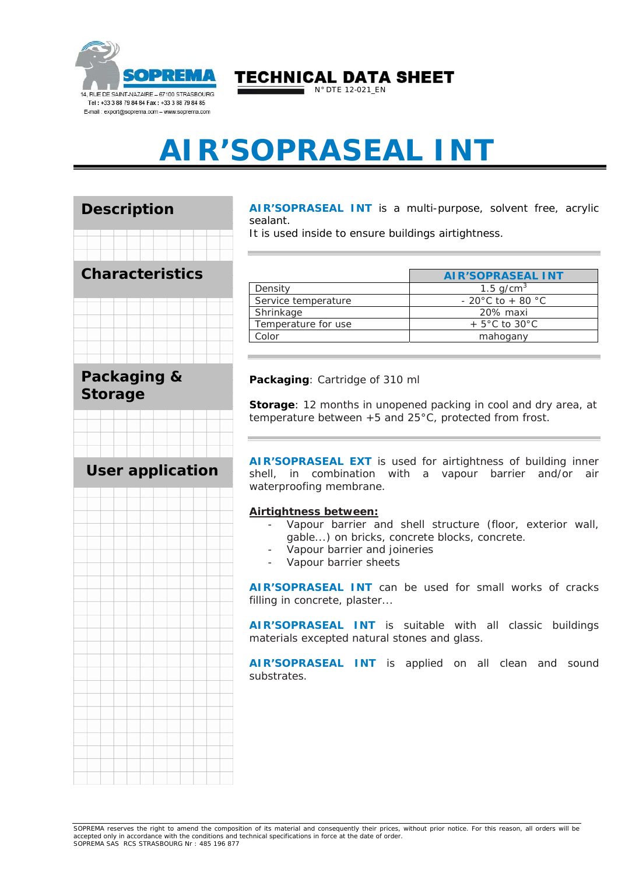

TECHNICAL DATA SHEET

 $\blacksquare$  N° DTE 12-021\_EN

# **AIR'SOPRASEAL INT**



**AIR'SOPRASEAL INT** is a multi-purpose, solvent free, acrylic sealant.

It is used inside to ensure buildings airtightness.

|                     | <b>AIR'SOPRASEAL INT</b>           |
|---------------------|------------------------------------|
| Density             | 1.5 $q/cm^{3}$                     |
| Service temperature | $-20^{\circ}$ C to $+80^{\circ}$ C |
| Shrinkage           | 20% maxi                           |
| Temperature for use | $+5^{\circ}$ C to 30 $^{\circ}$ C  |
| Color               | mahogany                           |

**Packaging**: Cartridge of 310 ml

**Storage**: 12 months in unopened packing in cool and dry area, at temperature between +5 and 25°C, protected from frost.

**AIR'SOPRASEAL EXT** is used for airtightness of building inner shell, in combination with a vapour barrier and/or air waterproofing membrane.

#### **Airtightness between:**

- Vapour barrier and shell structure (floor, exterior wall, gable...) on bricks, concrete blocks, concrete.
- Vapour barrier and joineries
- Vapour barrier sheets

**AIR'SOPRASEAL INT** can be used for small works of cracks filling in concrete, plaster...

**AIR'SOPRASEAL INT** is suitable with all classic buildings materials excepted natural stones and glass.

**AIR'SOPRASEAL INT** is applied on all clean and sound substrates.